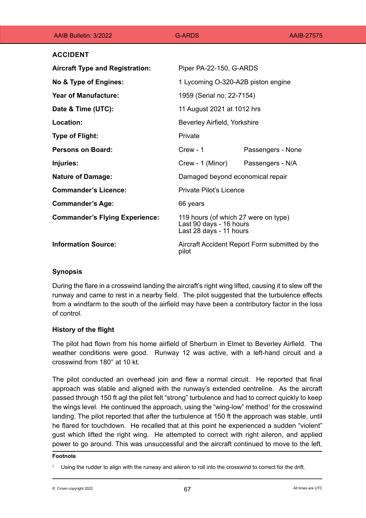| AAIB Bulletin: 3/2022                  | <b>G-ARDS</b>                                                                              | AAIB-27575        |
|----------------------------------------|--------------------------------------------------------------------------------------------|-------------------|
| <b>ACCIDENT</b>                        |                                                                                            |                   |
| <b>Aircraft Type and Registration:</b> | Piper PA-22-150, G-ARDS                                                                    |                   |
| No & Type of Engines:                  | 1 Lycoming O-320-A2B piston engine                                                         |                   |
| <b>Year of Manufacture:</b>            | 1959 (Serial no: 22-7154)                                                                  |                   |
| Date & Time (UTC):                     | 11 August 2021 at 1012 hrs                                                                 |                   |
| Location:                              | Beverley Airfield, Yorkshire                                                               |                   |
| <b>Type of Flight:</b>                 | Private                                                                                    |                   |
| <b>Persons on Board:</b>               | $Crew - 1$                                                                                 | Passengers - None |
| Injuries:                              | Crew - 1 (Minor)                                                                           | Passengers - N/A  |
| <b>Nature of Damage:</b>               | Damaged beyond economical repair                                                           |                   |
| <b>Commander's Licence:</b>            | <b>Private Pilot's Licence</b>                                                             |                   |
| <b>Commander's Age:</b>                | 66 years                                                                                   |                   |
| <b>Commander's Flying Experience:</b>  | 119 hours (of which 27 were on type)<br>Last 90 days - 16 hours<br>Last 28 days - 11 hours |                   |
| <b>Information Source:</b>             | Aircraft Accident Report Form submitted by the<br>pilot                                    |                   |

## **Synopsis**

During the flare in a crosswind landing the aircraft's right wing lifted, causing it to slew off the runway and came to rest in a nearby field. The pilot suggested that the turbulence effects from a windfarm to the south of the airfield may have been a contributory factor in the loss of control.

# **History of the flight**

The pilot had flown from his home airfield of Sherburn in Elmet to Beverley Airfield. The weather conditions were good. Runway 12 was active, with a left-hand circuit and a crosswind from 180° at 10 kt.

The pilot conducted an overhead join and flew a normal circuit. He reported that final approach was stable and aligned with the runway's extended centreline. As the aircraft passed through 150 ft agl the pilot felt "strong" turbulence and had to correct quickly to keep the wings level. He continued the approach, using the "wing-low" method1 for the crosswind landing. The pilot reported that after the turbulence at 150 ft the approach was stable, until he flared for touchdown. He recalled that at this point he experienced a sudden "violent" gust which lifted the right wing. He attempted to correct with right aileron, and applied power to go around. This was unsuccessful and the aircraft continued to move to the left.

#### **Footnote**

Using the rudder to align with the runway and aileron to roll into the crosswind to correct for the drift.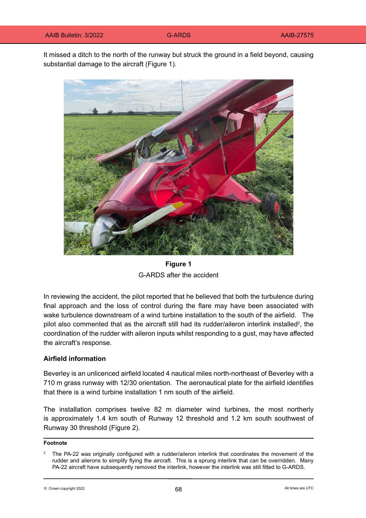It missed a ditch to the north of the runway but struck the ground in a field beyond, causing substantial damage to the aircraft (Figure 1).



**Figure 1** G-ARDS after the accident

In reviewing the accident, the pilot reported that he believed that both the turbulence during final approach and the loss of control during the flare may have been associated with wake turbulence downstream of a wind turbine installation to the south of the airfield. The pilot also commented that as the aircraft still had its rudder/aileron interlink installed<sup>2</sup>, the coordination of the rudder with aileron inputs whilst responding to a gust, may have affected the aircraft's response.

#### **Airfield information**

Beverley is an unlicenced airfield located 4 nautical miles north-northeast of Beverley with a 710 m grass runway with 12/30 orientation. The aeronautical plate for the airfield identifies that there is a wind turbine installation 1 nm south of the airfield.

The installation comprises twelve 82 m diameter wind turbines, the most northerly is approximately 1.4 km south of Runway 12 threshold and 1.2 km south southwest of Runway 30 threshold (Figure 2).

#### **Footnote**

 $\odot$  Crown copyright 2022 **Example 2022** All times are UTC

The PA-22 was originally configured with a rudder/aileron interlink that coordinates the movement of the rudder and ailerons to simplify flying the aircraft. This is a sprung interlink that can be overridden. Many PA-22 aircraft have subsequently removed the interlink, however the interlink was still fitted to G-ARDS.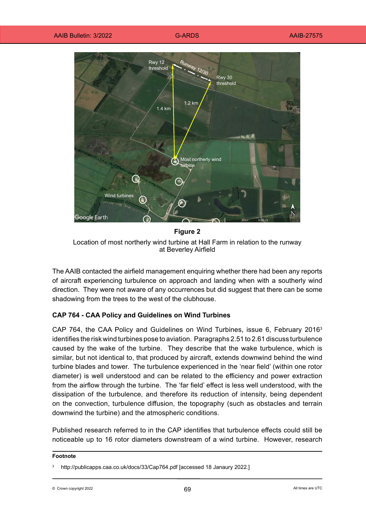

**Figure 2** Location of most northerly wind turbine at Hall Farm in relation to the runway at Beverley Airfield

The AAIB contacted the airfield management enquiring whether there had been any reports of aircraft experiencing turbulence on approach and landing when with a southerly wind direction. They were not aware of any occurrences but did suggest that there can be some shadowing from the trees to the west of the clubhouse.

## **CAP 764 - CAA Policy and Guidelines on Wind Turbines**

CAP 764, the CAA Policy and Guidelines on Wind Turbines, issue 6, February 2016<sup>3</sup> identifies the risk wind turbines pose to aviation. Paragraphs 2.51 to 2.61 discuss turbulence caused by the wake of the turbine. They describe that the wake turbulence, which is similar, but not identical to, that produced by aircraft, extends downwind behind the wind turbine blades and tower. The turbulence experienced in the 'near field' (within one rotor diameter) is well understood and can be related to the efficiency and power extraction from the airflow through the turbine. The 'far field' effect is less well understood, with the dissipation of the turbulence, and therefore its reduction of intensity, being dependent on the convection, turbulence diffusion, the topography (such as obstacles and terrain downwind the turbine) and the atmospheric conditions.

Published research referred to in the CAP identifies that turbulence effects could still be noticeable up to 16 rotor diameters downstream of a wind turbine. However, research

#### **Footnote**

 $\odot$  Crown copyright 2022 **Example 2022** All times are UTC

<sup>3</sup> <http://publicapps.caa.co.uk/docs/33/Cap764.pdf>[accessed 18 Janaury 2022.]